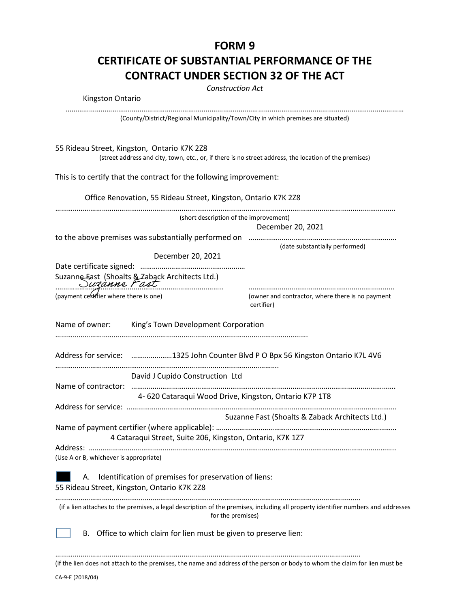## **FORM 9 CERTIFICATE OF SUBSTANTIAL PERFORMANCE OF THE CONTRACT UNDER SECTION 32 OF THE ACT**

*Construction Act*

| Kingston Ontario                                                                                                                                                                |                                                                                                      |                                                                                                                                   |
|---------------------------------------------------------------------------------------------------------------------------------------------------------------------------------|------------------------------------------------------------------------------------------------------|-----------------------------------------------------------------------------------------------------------------------------------|
|                                                                                                                                                                                 | (County/District/Regional Municipality/Town/City in which premises are situated)                     |                                                                                                                                   |
|                                                                                                                                                                                 | 55 Rideau Street, Kingston, Ontario K7K 2Z8                                                          | (street address and city, town, etc., or, if there is no street address, the location of the premises)                            |
|                                                                                                                                                                                 | This is to certify that the contract for the following improvement:                                  |                                                                                                                                   |
|                                                                                                                                                                                 | Office Renovation, 55 Rideau Street, Kingston, Ontario K7K 2Z8                                       |                                                                                                                                   |
| (short description of the improvement)<br>to the above premises was substantially performed on manufactured contracts and all the above premises was substantially performed on |                                                                                                      | December 20, 2021                                                                                                                 |
|                                                                                                                                                                                 | December 20, 2021                                                                                    | (date substantially performed)                                                                                                    |
|                                                                                                                                                                                 | Suzanne Fast (Shoalts & Zaback Architects Ltd.)<br>Canne Fast Carterine                              |                                                                                                                                   |
| (payment certifier where there is one)                                                                                                                                          |                                                                                                      | (owner and contractor, where there is no payment<br>certifier)                                                                    |
|                                                                                                                                                                                 | Name of owner: King's Town Development Corporation                                                   |                                                                                                                                   |
|                                                                                                                                                                                 |                                                                                                      | Address for service: 1325 John Counter Blvd P O Bpx 56 Kingston Ontario K7L 4V6                                                   |
| Name of contractor:                                                                                                                                                             | David J Cupido Construction Ltd                                                                      |                                                                                                                                   |
|                                                                                                                                                                                 | 4-620 Cataraqui Wood Drive, Kingston, Ontario K7P 1T8                                                |                                                                                                                                   |
|                                                                                                                                                                                 | 4 Cataraqui Street, Suite 206, Kingston, Ontario, K7K 1Z7                                            | Suzanne Fast (Shoalts & Zaback Architects Ltd.)                                                                                   |
| (Use A or B, whichever is appropriate)                                                                                                                                          |                                                                                                      |                                                                                                                                   |
| А.                                                                                                                                                                              | Identification of premises for preservation of liens:<br>55 Rideau Street, Kingston, Ontario K7K 2Z8 |                                                                                                                                   |
|                                                                                                                                                                                 | for the premises)                                                                                    | (if a lien attaches to the premises, a legal description of the premises, including all property identifier numbers and addresses |
|                                                                                                                                                                                 | B. Office to which claim for lien must be given to preserve lien:                                    |                                                                                                                                   |
|                                                                                                                                                                                 |                                                                                                      | (if the lien does not attach to the premises, the name and address of the person or body to whom the claim for lien must be       |